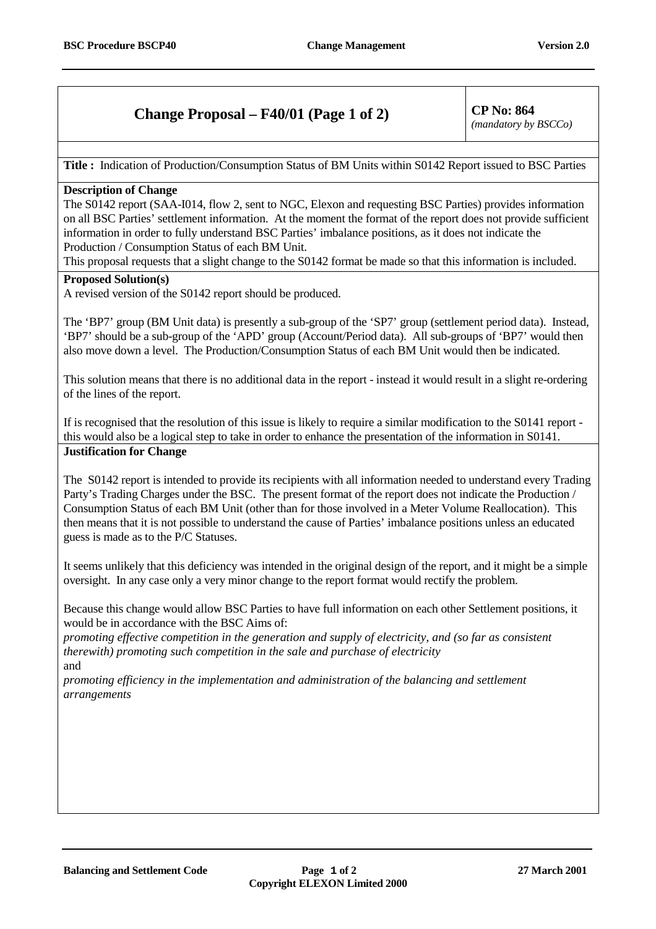## **Change Proposal – F40/01 (Page 1 of 2)** CP No:  $864$

*(mandatory by BSCCo)*

**Title :** Indication of Production/Consumption Status of BM Units within S0142 Report issued to BSC Parties

## **Description of Change**

The S0142 report (SAA-I014, flow 2, sent to NGC, Elexon and requesting BSC Parties) provides information on all BSC Parties' settlement information. At the moment the format of the report does not provide sufficient information in order to fully understand BSC Parties' imbalance positions, as it does not indicate the Production / Consumption Status of each BM Unit.

This proposal requests that a slight change to the S0142 format be made so that this information is included.

## **Proposed Solution(s)**

A revised version of the S0142 report should be produced.

The 'BP7' group (BM Unit data) is presently a sub-group of the 'SP7' group (settlement period data). Instead, 'BP7' should be a sub-group of the 'APD' group (Account/Period data). All sub-groups of 'BP7' would then also move down a level. The Production/Consumption Status of each BM Unit would then be indicated.

This solution means that there is no additional data in the report - instead it would result in a slight re-ordering of the lines of the report.

If is recognised that the resolution of this issue is likely to require a similar modification to the S0141 report this would also be a logical step to take in order to enhance the presentation of the information in S0141. **Justification for Change**

The S0142 report is intended to provide its recipients with all information needed to understand every Trading Party's Trading Charges under the BSC. The present format of the report does not indicate the Production / Consumption Status of each BM Unit (other than for those involved in a Meter Volume Reallocation). This then means that it is not possible to understand the cause of Parties' imbalance positions unless an educated guess is made as to the P/C Statuses.

It seems unlikely that this deficiency was intended in the original design of the report, and it might be a simple oversight. In any case only a very minor change to the report format would rectify the problem.

Because this change would allow BSC Parties to have full information on each other Settlement positions, it would be in accordance with the BSC Aims of:

*promoting effective competition in the generation and supply of electricity, and (so far as consistent therewith) promoting such competition in the sale and purchase of electricity* and

*promoting efficiency in the implementation and administration of the balancing and settlement arrangements*